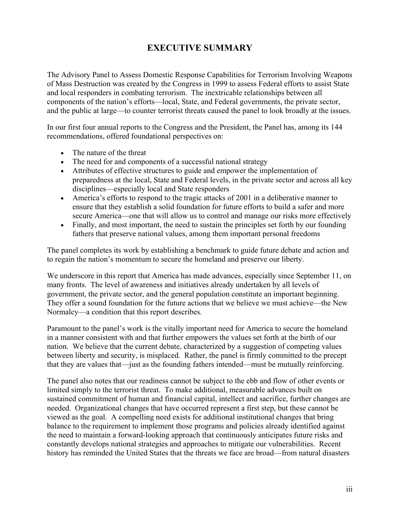# **EXECUTIVE SUMMARY**

The Advisory Panel to Assess Domestic Response Capabilities for Terrorism Involving Weapons of Mass Destruction was created by the Congress in 1999 to assess Federal efforts to assist State and local responders in combating terrorism. The inextricable relationships between all components of the nation's efforts—local, State, and Federal governments, the private sector, and the public at large—to counter terrorist threats caused the panel to look broadly at the issues.

In our first four annual reports to the Congress and the President, the Panel has, among its 144 recommendations, offered foundational perspectives on:

- The nature of the threat
- The need for and components of a successful national strategy
- Attributes of effective structures to guide and empower the implementation of preparedness at the local, State and Federal levels, in the private sector and across all key disciplines—especially local and State responders
- America's efforts to respond to the tragic attacks of 2001 in a deliberative manner to ensure that they establish a solid foundation for future efforts to build a safer and more secure America—one that will allow us to control and manage our risks more effectively
- Finally, and most important, the need to sustain the principles set forth by our founding fathers that preserve national values, among them important personal freedoms

The panel completes its work by establishing a benchmark to guide future debate and action and to regain the nation's momentum to secure the homeland and preserve our liberty.

We underscore in this report that America has made advances, especially since September 11, on many fronts. The level of awareness and initiatives already undertaken by all levels of government, the private sector, and the general population constitute an important beginning. They offer a sound foundation for the future actions that we believe we must achieve—the New Normalcy—a condition that this report describes.

Paramount to the panel's work is the vitally important need for America to secure the homeland in a manner consistent with and that further empowers the values set forth at the birth of our nation. We believe that the current debate, characterized by a suggestion of competing values between liberty and security, is misplaced. Rather, the panel is firmly committed to the precept that they are values that—just as the founding fathers intended—must be mutually reinforcing.

The panel also notes that our readiness cannot be subject to the ebb and flow of other events or limited simply to the terrorist threat. To make additional, measurable advances built on sustained commitment of human and financial capital, intellect and sacrifice, further changes are needed. Organizational changes that have occurred represent a first step, but these cannot be viewed as the goal. A compelling need exists for additional institutional changes that bring balance to the requirement to implement those programs and policies already identified against the need to maintain a forward-looking approach that continuously anticipates future risks and constantly develops national strategies and approaches to mitigate our vulnerabilities. Recent history has reminded the United States that the threats we face are broad—from natural disasters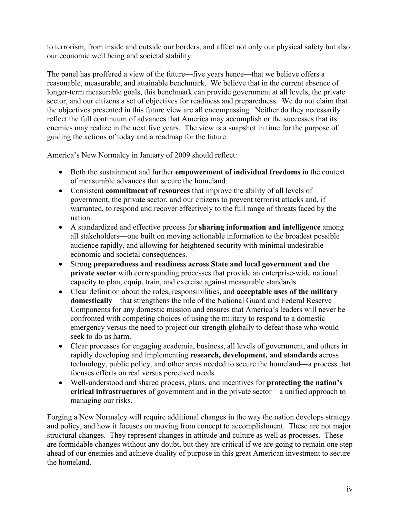to terrorism, from inside and outside our borders, and affect not only our physical safety but also our economic well being and societal stability.

The panel has proffered a view of the future—five years hence—that we believe offers a reasonable, measurable, and attainable benchmark. We believe that in the current absence of longer-term measurable goals, this benchmark can provide government at all levels, the private sector, and our citizens a set of objectives for readiness and preparedness. We do not claim that the objectives presented in this future view are all encompassing. Neither do they necessarily reflect the full continuum of advances that America may accomplish or the successes that its enemies may realize in the next five years. The view is a snapshot in time for the purpose of guiding the actions of today and a roadmap for the future.

America's New Normalcy in January of 2009 should reflect:

- Both the sustainment and further **empowerment of individual freedoms** in the context of measurable advances that secure the homeland.
- Consistent **commitment of resources** that improve the ability of all levels of government, the private sector, and our citizens to prevent terrorist attacks and, if warranted, to respond and recover effectively to the full range of threats faced by the nation.
- A standardized and effective process for **sharing information and intelligence** among all stakeholders—one built on moving actionable information to the broadest possible audience rapidly, and allowing for heightened security with minimal undesirable economic and societal consequences.
- Strong **preparedness and readiness across State and local government and the private sector** with corresponding processes that provide an enterprise-wide national capacity to plan, equip, train, and exercise against measurable standards.
- Clear definition about the roles, responsibilities, and **acceptable uses of the military domestically**—that strengthens the role of the National Guard and Federal Reserve Components for any domestic mission and ensures that America's leaders will never be confronted with competing choices of using the military to respond to a domestic emergency versus the need to project our strength globally to defeat those who would seek to do us harm.
- Clear processes for engaging academia, business, all levels of government, and others in rapidly developing and implementing **research, development, and standards** across technology, public policy, and other areas needed to secure the homeland—a process that focuses efforts on real versus perceived needs.
- Well-understood and shared process, plans, and incentives for **protecting the nation's critical infrastructures** of government and in the private sector—a unified approach to managing our risks.

Forging a New Normalcy will require additional changes in the way the nation develops strategy and policy, and how it focuses on moving from concept to accomplishment. These are not major structural changes. They represent changes in attitude and culture as well as processes. These are formidable changes without any doubt, but they are critical if we are going to remain one step ahead of our enemies and achieve duality of purpose in this great American investment to secure the homeland.